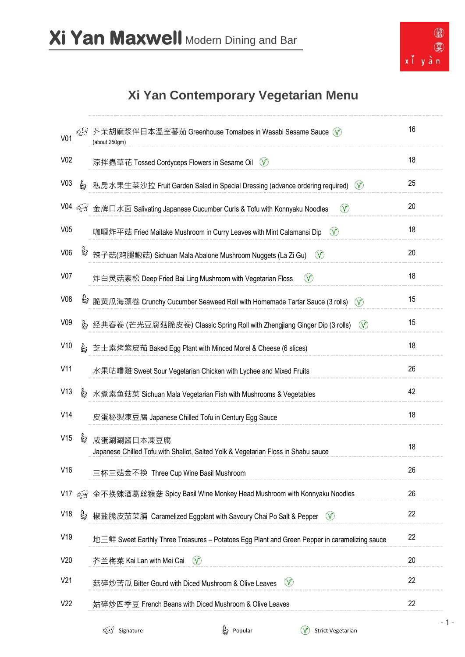

## **Xi Yan Contemporary Vegetarian Menu**

| 芥茉胡麻浆伴日本溫室蕃茄 Greenhouse Tomatoes in Wasabi Sesame Sauce $\Diamond$<br>V <sub>01</sub><br>(about 250gm)       | 16 |
|--------------------------------------------------------------------------------------------------------------|----|
| V <sub>02</sub><br>涼拌蟲草花 Tossed Cordyceps Flowers in Sesame Oil ①                                            | 18 |
| V <sub>03</sub><br>b<br>私房水果生菜沙拉 Fruit Garden Salad in Special Dressing (advance ordering required) ①        | 25 |
| $\circled{v}$<br>金牌口水面 Salivating Japanese Cucumber Curls & Tofu with Konnyaku Noodles                       | 20 |
| V05<br>$\mathcal{V}$<br>咖喱炸平菇 Fried Maitake Mushroom in Curry Leaves with Mint Calamansi Dip                 | 18 |
| V06<br>辣子菇(鸡腿鲍菇) Sichuan Mala Abalone Mushroom Nuggets (La Zi Gu)<br>$\infty$                                | 20 |
| V <sub>07</sub><br>$\mathcal{V}$<br>炸白灵菇素松 Deep Fried Bai Ling Mushroom with Vegetarian Floss                | 18 |
| V <sub>08</sub><br>脆黄瓜海藻卷 Crunchy Cucumber Seaweed Roll with Homemade Tartar Sauce (3 rolls)<br>$\infty$     | 15 |
| V <sub>09</sub><br>$\mathcal{V}$<br>经典春卷 (芒光豆腐菇脆皮卷) Classic Spring Roll with Zhengjiang Ginger Dip (3 rolls) | 15 |
| V10<br>b<br>芝士素烤紫皮茄 Baked Egg Plant with Minced Morel & Cheese (6 slices)                                    | 18 |
| V11<br>水果咕噜雞 Sweet Sour Vegetarian Chicken with Lychee and Mixed Fruits                                      | 26 |
| V13<br>ė<br>水煮素鱼菇菜 Sichuan Mala Vegetarian Fish with Mushrooms & Vegetables                                  | 42 |
| V14<br>皮蛋秘製凍豆腐 Japanese Chilled Tofu in Century Egg Sauce                                                    | 18 |
| V15<br>è<br>咸蛋涮涮酱日本凍豆腐<br>Japanese Chilled Tofu with Shallot, Salted Yolk & Vegetarian Floss in Shabu sauce  | 18 |
| V16<br>三杯三菇金不换 Three Cup Wine Basil Mushroom                                                                 | 26 |
| $V17 \leq Q$<br>金不换辣酒葛丝猴菇 Spicy Basil Wine Monkey Head Mushroom with Konnyaku Noodles                        | 26 |
| V18<br>G<br>椒盐脆皮茄菜脯 Caramelized Eggplant with Savoury Chai Po Salt & Pepper<br>$\infty$                      | 22 |
| V19<br>地三鲜 Sweet Earthly Three Treasures – Potatoes Egg Plant and Green Pepper in caramelizing sauce         | 22 |
| V20<br>芥兰梅菜 Kai Lan with Mei Cai<br>$\infty$                                                                 | 20 |
| V <sub>21</sub><br>$\bigcirc$<br>菇碎炒苦瓜 Bitter Gourd with Diced Mushroom & Olive Leaves                       | 22 |
| V <sub>22</sub><br>姑碎炒四季豆 French Beans with Diced Mushroom & Olive Leaves                                    | 22 |